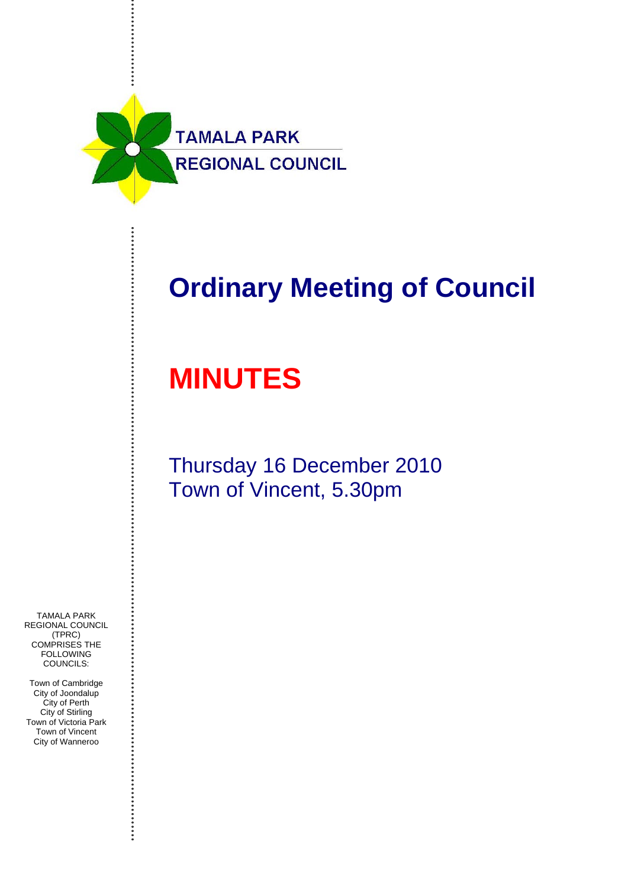

## **Ordinary Meeting of Council**

# **MINUTES**

Thursday 16 December 2010 Town of Vincent, 5.30pm

TAMALA PARK REGIONAL COUNCIL (TPRC) COMPRISES THE **FOLLOWING** COUNCILS:

Town of Cambridge City of Joondalup City of Perth City of Stirling Town of Victoria Park Town of Vincent City of Wanneroo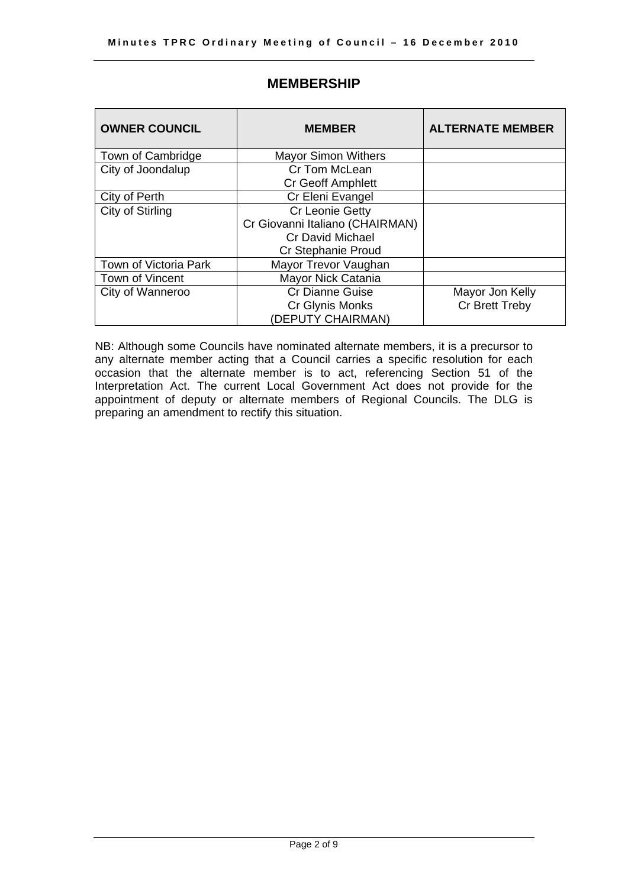| <b>OWNER COUNCIL</b>  | <b>MEMBER</b>                   | <b>ALTERNATE MEMBER</b> |
|-----------------------|---------------------------------|-------------------------|
| Town of Cambridge     | <b>Mayor Simon Withers</b>      |                         |
| City of Joondalup     | Cr Tom McLean                   |                         |
|                       | <b>Cr Geoff Amphlett</b>        |                         |
| City of Perth         | Cr Eleni Evangel                |                         |
| City of Stirling      | <b>Cr Leonie Getty</b>          |                         |
|                       | Cr Giovanni Italiano (CHAIRMAN) |                         |
|                       | <b>Cr David Michael</b>         |                         |
|                       | <b>Cr Stephanie Proud</b>       |                         |
| Town of Victoria Park | Mayor Trevor Vaughan            |                         |
| Town of Vincent       | Mayor Nick Catania              |                         |
| City of Wanneroo      | <b>Cr Dianne Guise</b>          | Mayor Jon Kelly         |
|                       | Cr Glynis Monks                 | Cr Brett Treby          |
|                       | (DEPUTY CHAIRMAN)               |                         |

## **MEMBERSHIP**

NB: Although some Councils have nominated alternate members, it is a precursor to any alternate member acting that a Council carries a specific resolution for each occasion that the alternate member is to act, referencing Section 51 of the Interpretation Act. The current Local Government Act does not provide for the appointment of deputy or alternate members of Regional Councils. The DLG is preparing an amendment to rectify this situation.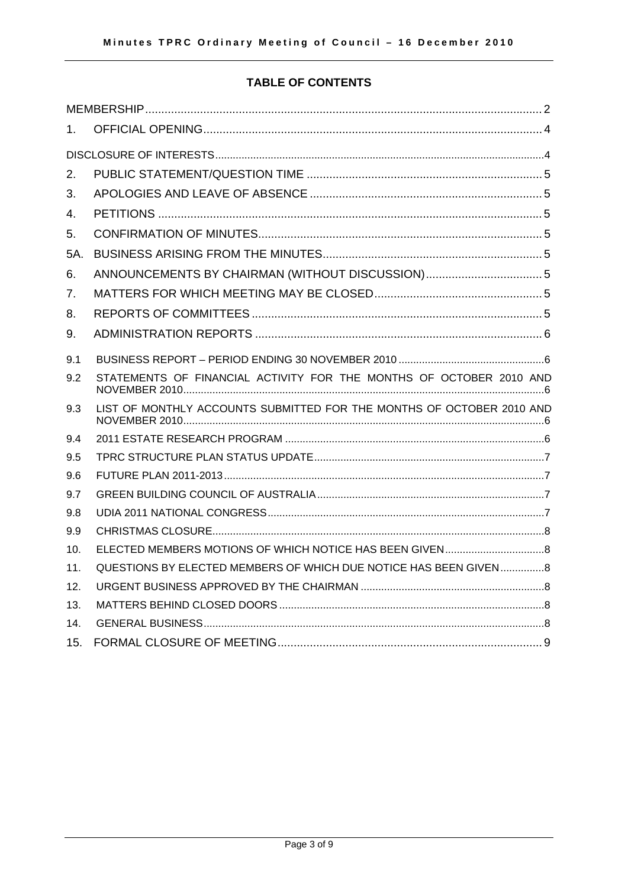## **TABLE OF CONTENTS**

| 1.  |                                                                       |
|-----|-----------------------------------------------------------------------|
|     |                                                                       |
| 2.  |                                                                       |
| 3.  |                                                                       |
| 4.  |                                                                       |
| 5.  |                                                                       |
| 5A. |                                                                       |
| 6.  | ANNOUNCEMENTS BY CHAIRMAN (WITHOUT DISCUSSION) 5                      |
| 7.  |                                                                       |
| 8.  |                                                                       |
| 9.  |                                                                       |
| 9.1 |                                                                       |
| 9.2 | STATEMENTS OF FINANCIAL ACTIVITY FOR THE MONTHS OF OCTOBER 2010 AND   |
| 9.3 | LIST OF MONTHLY ACCOUNTS SUBMITTED FOR THE MONTHS OF OCTOBER 2010 AND |
| 9.4 |                                                                       |
| 9.5 |                                                                       |
| 9.6 |                                                                       |
| 9.7 |                                                                       |
| 9.8 |                                                                       |
| 9.9 |                                                                       |
| 10. |                                                                       |
| 11. | QUESTIONS BY ELECTED MEMBERS OF WHICH DUE NOTICE HAS BEEN GIVEN8      |
| 12. |                                                                       |
| 13. |                                                                       |
| 14. |                                                                       |
| 15. |                                                                       |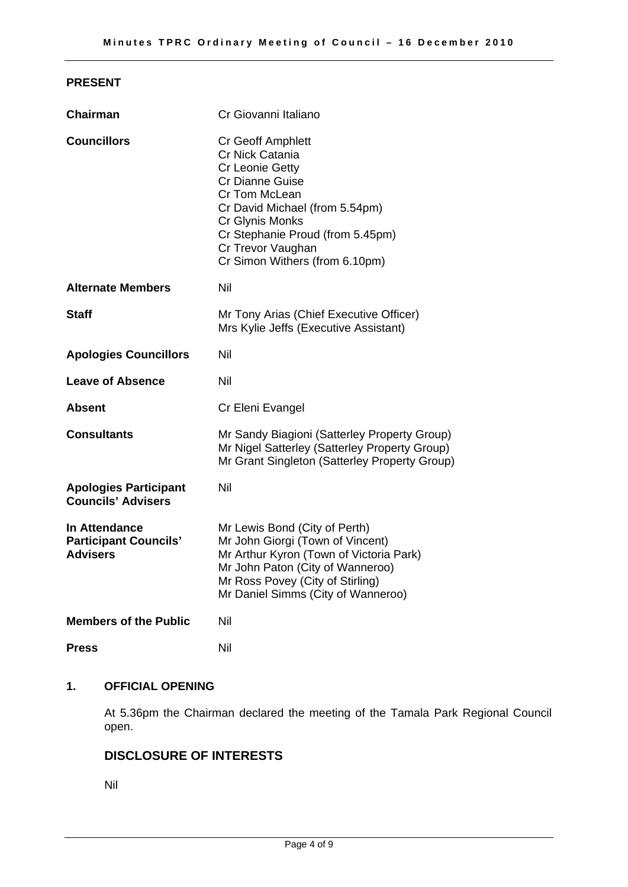#### **PRESENT**

| <b>Chairman</b>                                                         | Cr Giovanni Italiano                                                                                                                                                                                                                               |  |
|-------------------------------------------------------------------------|----------------------------------------------------------------------------------------------------------------------------------------------------------------------------------------------------------------------------------------------------|--|
| <b>Councillors</b>                                                      | Cr Geoff Amphlett<br>Cr Nick Catania<br>Cr Leonie Getty<br><b>Cr Dianne Guise</b><br>Cr Tom McLean<br>Cr David Michael (from 5.54pm)<br>Cr Glynis Monks<br>Cr Stephanie Proud (from 5.45pm)<br>Cr Trevor Vaughan<br>Cr Simon Withers (from 6.10pm) |  |
| <b>Alternate Members</b>                                                | Nil                                                                                                                                                                                                                                                |  |
| Staff                                                                   | Mr Tony Arias (Chief Executive Officer)<br>Mrs Kylie Jeffs (Executive Assistant)                                                                                                                                                                   |  |
| <b>Apologies Councillors</b>                                            | Nil                                                                                                                                                                                                                                                |  |
| <b>Leave of Absence</b>                                                 | Nil                                                                                                                                                                                                                                                |  |
| Absent                                                                  | Cr Eleni Evangel                                                                                                                                                                                                                                   |  |
| <b>Consultants</b>                                                      | Mr Sandy Biagioni (Satterley Property Group)<br>Mr Nigel Satterley (Satterley Property Group)<br>Mr Grant Singleton (Satterley Property Group)                                                                                                     |  |
| <b>Apologies Participant</b><br><b>Councils' Advisers</b>               | Nil                                                                                                                                                                                                                                                |  |
| <b>In Attendance</b><br><b>Participant Councils'</b><br><b>Advisers</b> | Mr Lewis Bond (City of Perth)<br>Mr John Giorgi (Town of Vincent)<br>Mr Arthur Kyron (Town of Victoria Park)<br>Mr John Paton (City of Wanneroo)<br>Mr Ross Povey (City of Stirling)<br>Mr Daniel Simms (City of Wanneroo)                         |  |
| <b>Members of the Public</b>                                            | Nil                                                                                                                                                                                                                                                |  |
| <b>Press</b>                                                            | Nil                                                                                                                                                                                                                                                |  |

## **1. OFFICIAL OPENING**

At 5.36pm the Chairman declared the meeting of the Tamala Park Regional Council open.

## **DISCLOSURE OF INTERESTS**

Nil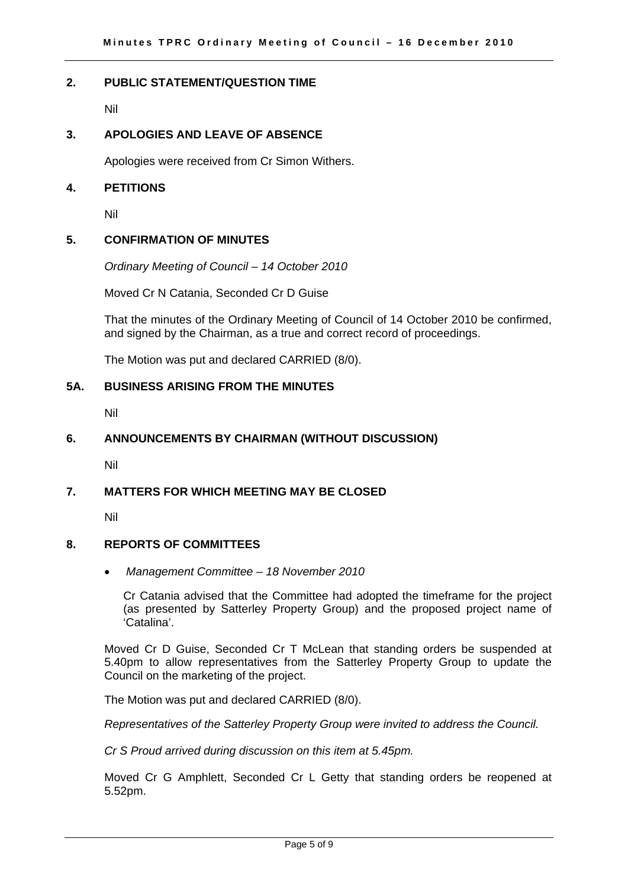#### **2. PUBLIC STATEMENT/QUESTION TIME**

Nil

#### **3. APOLOGIES AND LEAVE OF ABSENCE**

Apologies were received from Cr Simon Withers.

#### **4. PETITIONS**

Nil

#### **5. CONFIRMATION OF MINUTES**

*Ordinary Meeting of Council – 14 October 2010* 

Moved Cr N Catania, Seconded Cr D Guise

That the minutes of the Ordinary Meeting of Council of 14 October 2010 be confirmed, and signed by the Chairman, as a true and correct record of proceedings.

The Motion was put and declared CARRIED (8/0).

## **5A. BUSINESS ARISING FROM THE MINUTES**

Nil

#### **6. ANNOUNCEMENTS BY CHAIRMAN (WITHOUT DISCUSSION)**

Nil

#### **7. MATTERS FOR WHICH MEETING MAY BE CLOSED**

Nil

#### **8. REPORTS OF COMMITTEES**

• *Management Committee – 18 November 2010* 

Cr Catania advised that the Committee had adopted the timeframe for the project (as presented by Satterley Property Group) and the proposed project name of 'Catalina'.

Moved Cr D Guise, Seconded Cr T McLean that standing orders be suspended at 5.40pm to allow representatives from the Satterley Property Group to update the Council on the marketing of the project.

The Motion was put and declared CARRIED (8/0).

*Representatives of the Satterley Property Group were invited to address the Council.* 

*Cr S Proud arrived during discussion on this item at 5.45pm.* 

Moved Cr G Amphlett, Seconded Cr L Getty that standing orders be reopened at 5.52pm.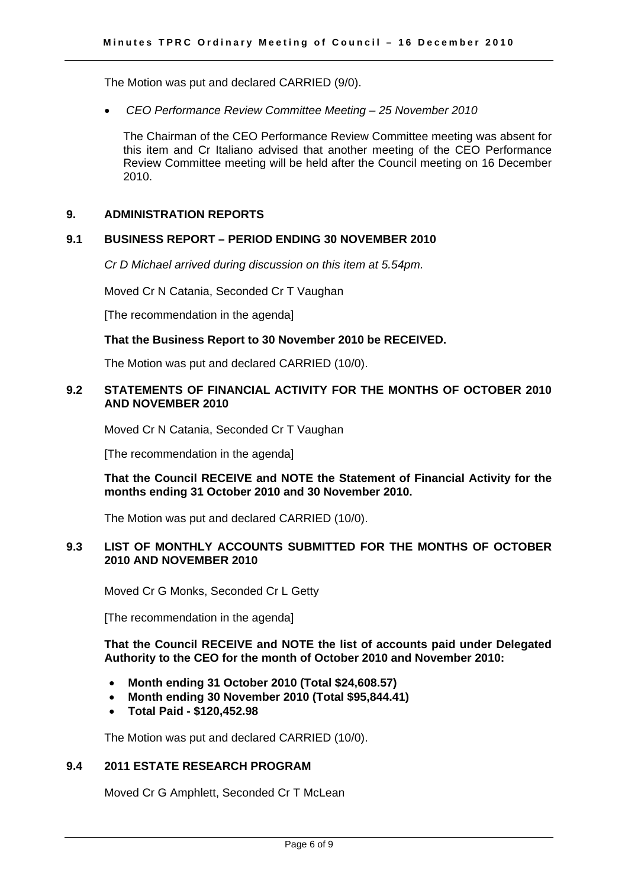The Motion was put and declared CARRIED (9/0).

• *CEO Performance Review Committee Meeting – 25 November 2010* 

The Chairman of the CEO Performance Review Committee meeting was absent for this item and Cr Italiano advised that another meeting of the CEO Performance Review Committee meeting will be held after the Council meeting on 16 December 2010.

#### **9. ADMINISTRATION REPORTS**

#### **9.1 BUSINESS REPORT – PERIOD ENDING 30 NOVEMBER 2010**

*Cr D Michael arrived during discussion on this item at 5.54pm.* 

Moved Cr N Catania, Seconded Cr T Vaughan

[The recommendation in the agenda]

#### **That the Business Report to 30 November 2010 be RECEIVED.**

The Motion was put and declared CARRIED (10/0).

#### **9.2 STATEMENTS OF FINANCIAL ACTIVITY FOR THE MONTHS OF OCTOBER 2010 AND NOVEMBER 2010**

Moved Cr N Catania, Seconded Cr T Vaughan

[The recommendation in the agenda]

**That the Council RECEIVE and NOTE the Statement of Financial Activity for the months ending 31 October 2010 and 30 November 2010.** 

The Motion was put and declared CARRIED (10/0).

#### **9.3 LIST OF MONTHLY ACCOUNTS SUBMITTED FOR THE MONTHS OF OCTOBER 2010 AND NOVEMBER 2010**

Moved Cr G Monks, Seconded Cr L Getty

[The recommendation in the agenda]

**That the Council RECEIVE and NOTE the list of accounts paid under Delegated Authority to the CEO for the month of October 2010 and November 2010:** 

- **Month ending 31 October 2010 (Total \$24,608.57)**
- **Month ending 30 November 2010 (Total \$95,844.41)**
- **Total Paid \$120,452.98**

The Motion was put and declared CARRIED (10/0).

## **9.4 2011 ESTATE RESEARCH PROGRAM**

Moved Cr G Amphlett, Seconded Cr T McLean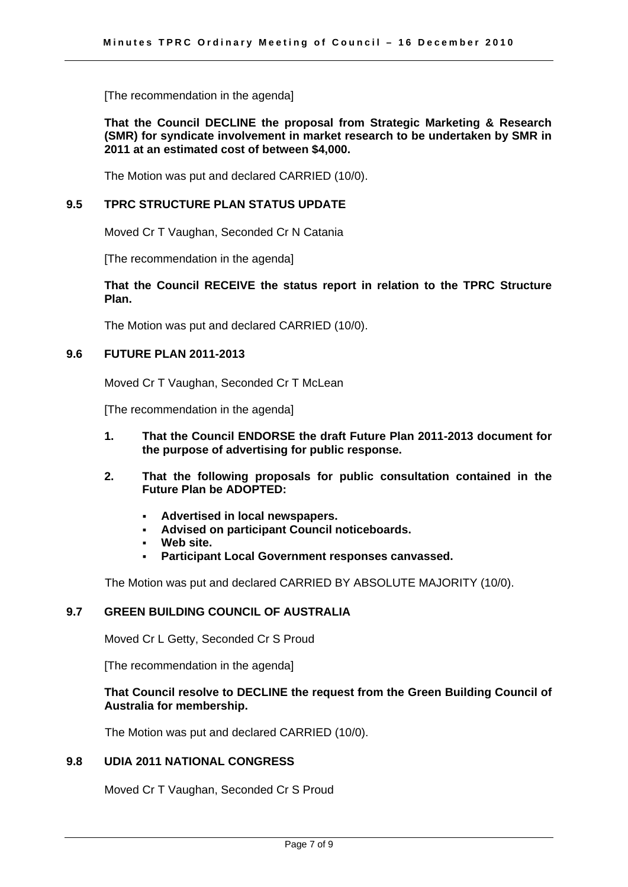[The recommendation in the agenda]

**That the Council DECLINE the proposal from Strategic Marketing & Research (SMR) for syndicate involvement in market research to be undertaken by SMR in 2011 at an estimated cost of between \$4,000.** 

The Motion was put and declared CARRIED (10/0).

#### **9.5 TPRC STRUCTURE PLAN STATUS UPDATE**

Moved Cr T Vaughan, Seconded Cr N Catania

[The recommendation in the agenda]

#### **That the Council RECEIVE the status report in relation to the TPRC Structure Plan.**

The Motion was put and declared CARRIED (10/0).

#### **9.6 FUTURE PLAN 2011-2013**

Moved Cr T Vaughan, Seconded Cr T McLean

[The recommendation in the agenda]

- **1. That the Council ENDORSE the draft Future Plan 2011-2013 document for the purpose of advertising for public response.**
- **2. That the following proposals for public consultation contained in the Future Plan be ADOPTED:** 
	- **Advertised in local newspapers.**
	- **Advised on participant Council noticeboards.**
	- **Web site.**
	- **Participant Local Government responses canvassed.**

The Motion was put and declared CARRIED BY ABSOLUTE MAJORITY (10/0).

#### **9.7 GREEN BUILDING COUNCIL OF AUSTRALIA**

Moved Cr L Getty, Seconded Cr S Proud

[The recommendation in the agenda]

#### **That Council resolve to DECLINE the request from the Green Building Council of Australia for membership.**

The Motion was put and declared CARRIED (10/0).

#### **9.8 UDIA 2011 NATIONAL CONGRESS**

Moved Cr T Vaughan, Seconded Cr S Proud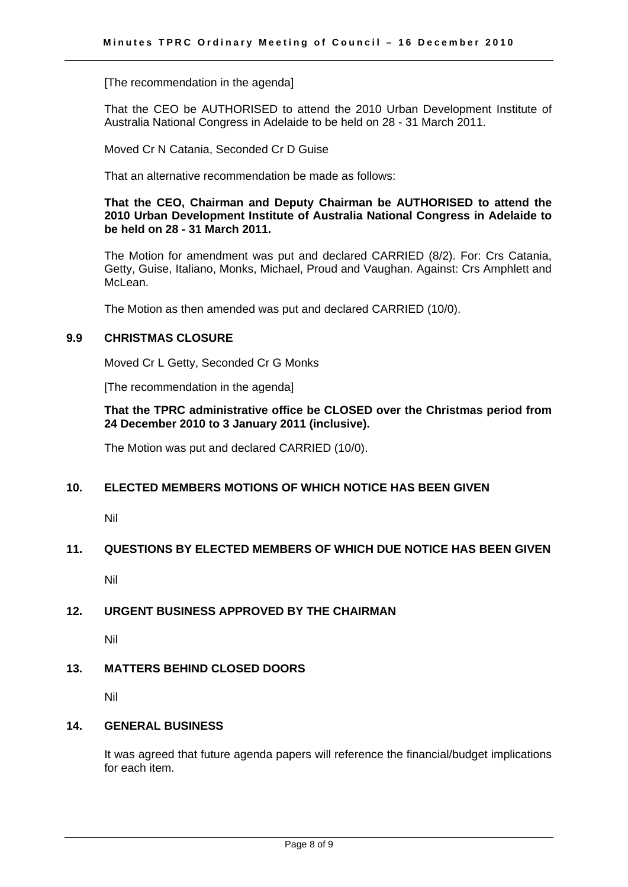[The recommendation in the agenda]

That the CEO be AUTHORISED to attend the 2010 Urban Development Institute of Australia National Congress in Adelaide to be held on 28 - 31 March 2011.

Moved Cr N Catania, Seconded Cr D Guise

That an alternative recommendation be made as follows:

**That the CEO, Chairman and Deputy Chairman be AUTHORISED to attend the 2010 Urban Development Institute of Australia National Congress in Adelaide to be held on 28 - 31 March 2011.** 

The Motion for amendment was put and declared CARRIED (8/2). For: Crs Catania, Getty, Guise, Italiano, Monks, Michael, Proud and Vaughan. Against: Crs Amphlett and McLean.

The Motion as then amended was put and declared CARRIED (10/0).

#### **9.9 CHRISTMAS CLOSURE**

Moved Cr L Getty, Seconded Cr G Monks

[The recommendation in the agenda]

**That the TPRC administrative office be CLOSED over the Christmas period from 24 December 2010 to 3 January 2011 (inclusive).** 

The Motion was put and declared CARRIED (10/0).

#### **10. ELECTED MEMBERS MOTIONS OF WHICH NOTICE HAS BEEN GIVEN**

Nil

#### **11. QUESTIONS BY ELECTED MEMBERS OF WHICH DUE NOTICE HAS BEEN GIVEN**

Nil

#### **12. URGENT BUSINESS APPROVED BY THE CHAIRMAN**

Nil

#### **13. MATTERS BEHIND CLOSED DOORS**

Nil

#### **14. GENERAL BUSINESS**

It was agreed that future agenda papers will reference the financial/budget implications for each item.